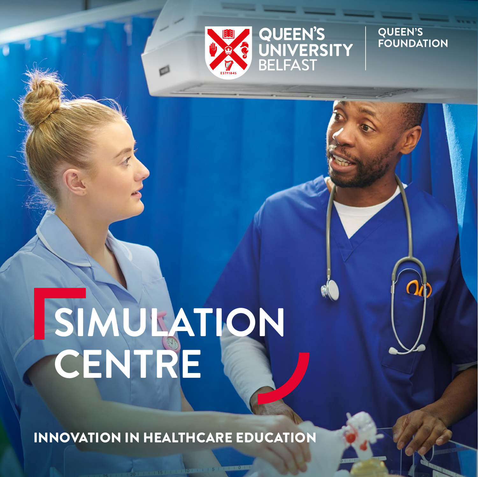

QUEEN'S<br>UNIVERSITY<br>BELFAST

**QUEEN'S<br>FOUNDATION** 

## **SIMULATION CENTRE**

INNOVATION IN HEALTHCARE EDUCATION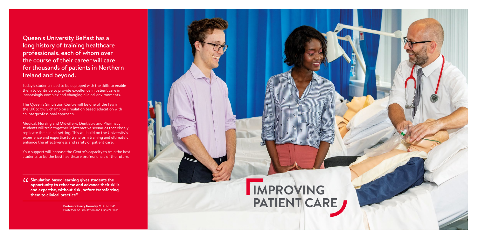Queen's University Belfast has a long history of training healthcare professionals, each of whom over the course of their career will care for thousands of patients in Northern Ireland and beyond.

Today's students need to be equipped with the skills to enable them to continue to provide excellence in patient care in increasingly complex and changing clinical environments.

The Queen's Simulation Centre will be one of the few in the UK to truly champion simulation based education with an interprofessional approach.

**Simulation based learning gives students the opportunity to rehearse and advance their ski and expertise, without risk, before transferring opportunity to rehearse and advance their skills and expertise, without risk, before transferring them to clinical practice".**

Medical, Nursing and Midwifery, Dentistry and Pharmacy students will train together in interactive scenarios that closely replicate the clinical setting. This will build on the University's experience and expertise to transform training and ultimately enhance the effectiveness and safety of patient care.

Your support will increase the Centre's capacity to train the best students to be the best healthcare professionals of the future.

> **Professor Gerry Gormley** MD FRCGP Professor of Simulation and Clinical Skills

## **IMPROVING PATIENT CARE**